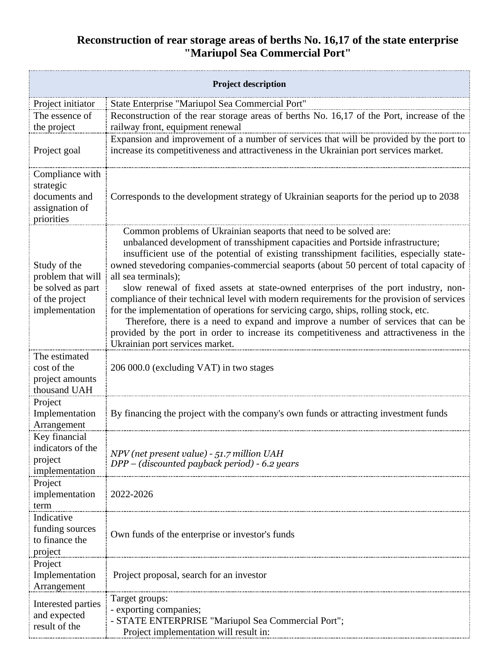## **Reconstruction of rear storage areas of berths No. 16,17 of the state enterprise "Mariupol Sea Commercial Port"**

| <b>Project description</b>                                                                 |                                                                                                                                                                                                                                                                                                                                                                                                                                                                                                                                                                                                                                                                                                                                                                                                                                                                   |  |
|--------------------------------------------------------------------------------------------|-------------------------------------------------------------------------------------------------------------------------------------------------------------------------------------------------------------------------------------------------------------------------------------------------------------------------------------------------------------------------------------------------------------------------------------------------------------------------------------------------------------------------------------------------------------------------------------------------------------------------------------------------------------------------------------------------------------------------------------------------------------------------------------------------------------------------------------------------------------------|--|
| Project initiator                                                                          | State Enterprise "Mariupol Sea Commercial Port"                                                                                                                                                                                                                                                                                                                                                                                                                                                                                                                                                                                                                                                                                                                                                                                                                   |  |
| The essence of                                                                             | Reconstruction of the rear storage areas of berths No. 16,17 of the Port, increase of the                                                                                                                                                                                                                                                                                                                                                                                                                                                                                                                                                                                                                                                                                                                                                                         |  |
| the project                                                                                | railway front, equipment renewal                                                                                                                                                                                                                                                                                                                                                                                                                                                                                                                                                                                                                                                                                                                                                                                                                                  |  |
| Project goal                                                                               | Expansion and improvement of a number of services that will be provided by the port to<br>increase its competitiveness and attractiveness in the Ukrainian port services market.                                                                                                                                                                                                                                                                                                                                                                                                                                                                                                                                                                                                                                                                                  |  |
| Compliance with<br>strategic<br>documents and<br>assignation of<br>priorities              | Corresponds to the development strategy of Ukrainian seaports for the period up to 2038                                                                                                                                                                                                                                                                                                                                                                                                                                                                                                                                                                                                                                                                                                                                                                           |  |
| Study of the<br>problem that will<br>be solved as part<br>of the project<br>implementation | Common problems of Ukrainian seaports that need to be solved are:<br>unbalanced development of transshipment capacities and Portside infrastructure;<br>insufficient use of the potential of existing transshipment facilities, especially state-<br>owned stevedoring companies-commercial seaports (about 50 percent of total capacity of<br>all sea terminals);<br>slow renewal of fixed assets at state-owned enterprises of the port industry, non-<br>compliance of their technical level with modern requirements for the provision of services<br>for the implementation of operations for servicing cargo, ships, rolling stock, etc.<br>Therefore, there is a need to expand and improve a number of services that can be<br>provided by the port in order to increase its competitiveness and attractiveness in the<br>Ukrainian port services market. |  |
| The estimated<br>cost of the<br>project amounts<br>thousand UAH                            | 206 000.0 (excluding VAT) in two stages                                                                                                                                                                                                                                                                                                                                                                                                                                                                                                                                                                                                                                                                                                                                                                                                                           |  |
| Project<br>Implementation<br>Arrangement                                                   | By financing the project with the company's own funds or attracting investment funds                                                                                                                                                                                                                                                                                                                                                                                                                                                                                                                                                                                                                                                                                                                                                                              |  |
| Key financial<br>indicators of the<br>project<br>implementation                            | NPV (net present value) - 51.7 million UAH<br>DPP – (discounted payback period) - 6.2 years                                                                                                                                                                                                                                                                                                                                                                                                                                                                                                                                                                                                                                                                                                                                                                       |  |
| Project<br>implementation<br>term                                                          | 2022-2026                                                                                                                                                                                                                                                                                                                                                                                                                                                                                                                                                                                                                                                                                                                                                                                                                                                         |  |
| Indicative<br>funding sources<br>to finance the<br>project                                 | Own funds of the enterprise or investor's funds                                                                                                                                                                                                                                                                                                                                                                                                                                                                                                                                                                                                                                                                                                                                                                                                                   |  |
| Project<br>Implementation<br>Arrangement                                                   | Project proposal, search for an investor                                                                                                                                                                                                                                                                                                                                                                                                                                                                                                                                                                                                                                                                                                                                                                                                                          |  |
| Interested parties                                                                         | Target groups:                                                                                                                                                                                                                                                                                                                                                                                                                                                                                                                                                                                                                                                                                                                                                                                                                                                    |  |
| and expected                                                                               | - exporting companies;                                                                                                                                                                                                                                                                                                                                                                                                                                                                                                                                                                                                                                                                                                                                                                                                                                            |  |
| result of the                                                                              | - STATE ENTERPRISE "Mariupol Sea Commercial Port";                                                                                                                                                                                                                                                                                                                                                                                                                                                                                                                                                                                                                                                                                                                                                                                                                |  |
|                                                                                            | Project implementation will result in:                                                                                                                                                                                                                                                                                                                                                                                                                                                                                                                                                                                                                                                                                                                                                                                                                            |  |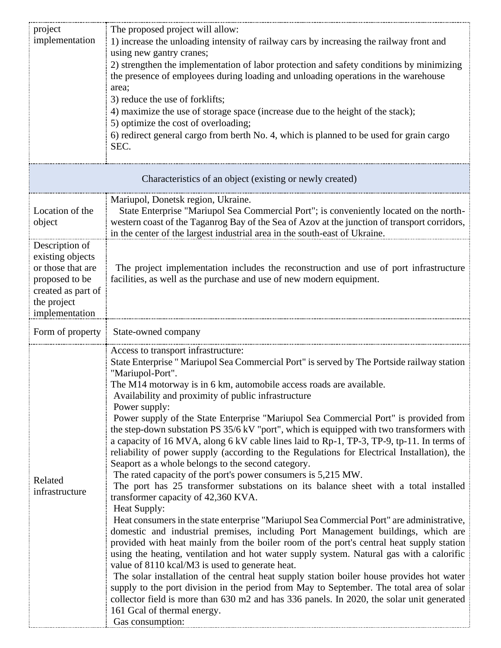| project<br>implementation                                                                                                        | The proposed project will allow:<br>1) increase the unloading intensity of railway cars by increasing the railway front and<br>using new gantry cranes;<br>2) strengthen the implementation of labor protection and safety conditions by minimizing<br>the presence of employees during loading and unloading operations in the warehouse                                                                                                                                                                                                                                                                                                                                                                                                                                                                                                                                                                                                                                                                                                                                                                                                                                                                                                                                                                                                                                                                                                                                                                                                                                                                                                                                                                                      |  |
|----------------------------------------------------------------------------------------------------------------------------------|--------------------------------------------------------------------------------------------------------------------------------------------------------------------------------------------------------------------------------------------------------------------------------------------------------------------------------------------------------------------------------------------------------------------------------------------------------------------------------------------------------------------------------------------------------------------------------------------------------------------------------------------------------------------------------------------------------------------------------------------------------------------------------------------------------------------------------------------------------------------------------------------------------------------------------------------------------------------------------------------------------------------------------------------------------------------------------------------------------------------------------------------------------------------------------------------------------------------------------------------------------------------------------------------------------------------------------------------------------------------------------------------------------------------------------------------------------------------------------------------------------------------------------------------------------------------------------------------------------------------------------------------------------------------------------------------------------------------------------|--|
|                                                                                                                                  | area;<br>3) reduce the use of forklifts;<br>4) maximize the use of storage space (increase due to the height of the stack);<br>5) optimize the cost of overloading;<br>6) redirect general cargo from berth No. 4, which is planned to be used for grain cargo<br>SEC.                                                                                                                                                                                                                                                                                                                                                                                                                                                                                                                                                                                                                                                                                                                                                                                                                                                                                                                                                                                                                                                                                                                                                                                                                                                                                                                                                                                                                                                         |  |
| Characteristics of an object (existing or newly created)                                                                         |                                                                                                                                                                                                                                                                                                                                                                                                                                                                                                                                                                                                                                                                                                                                                                                                                                                                                                                                                                                                                                                                                                                                                                                                                                                                                                                                                                                                                                                                                                                                                                                                                                                                                                                                |  |
| Location of the<br>object                                                                                                        | Mariupol, Donetsk region, Ukraine.<br>State Enterprise "Mariupol Sea Commercial Port"; is conveniently located on the north-<br>western coast of the Taganrog Bay of the Sea of Azov at the junction of transport corridors,<br>in the center of the largest industrial area in the south-east of Ukraine.                                                                                                                                                                                                                                                                                                                                                                                                                                                                                                                                                                                                                                                                                                                                                                                                                                                                                                                                                                                                                                                                                                                                                                                                                                                                                                                                                                                                                     |  |
| Description of<br>existing objects<br>or those that are<br>proposed to be<br>created as part of<br>the project<br>implementation | The project implementation includes the reconstruction and use of port infrastructure<br>facilities, as well as the purchase and use of new modern equipment.                                                                                                                                                                                                                                                                                                                                                                                                                                                                                                                                                                                                                                                                                                                                                                                                                                                                                                                                                                                                                                                                                                                                                                                                                                                                                                                                                                                                                                                                                                                                                                  |  |
| Form of property                                                                                                                 | State-owned company                                                                                                                                                                                                                                                                                                                                                                                                                                                                                                                                                                                                                                                                                                                                                                                                                                                                                                                                                                                                                                                                                                                                                                                                                                                                                                                                                                                                                                                                                                                                                                                                                                                                                                            |  |
| Related<br>infrastructure                                                                                                        | Access to transport infrastructure:<br>State Enterprise " Mariupol Sea Commercial Port" is served by The Portside railway station<br>"Mariupol-Port".<br>The M14 motorway is in 6 km, automobile access roads are available.<br>Availability and proximity of public infrastructure<br>Power supply:<br>Power supply of the State Enterprise "Mariupol Sea Commercial Port" is provided from<br>the step-down substation PS 35/6 kV "port", which is equipped with two transformers with<br>a capacity of 16 MVA, along 6 kV cable lines laid to Rp-1, TP-3, TP-9, tp-11. In terms of<br>reliability of power supply (according to the Regulations for Electrical Installation), the<br>Seaport as a whole belongs to the second category.<br>The rated capacity of the port's power consumers is 5,215 MW.<br>The port has 25 transformer substations on its balance sheet with a total installed<br>transformer capacity of 42,360 KVA.<br>Heat Supply:<br>Heat consumers in the state enterprise "Mariupol Sea Commercial Port" are administrative,<br>domestic and industrial premises, including Port Management buildings, which are<br>provided with heat mainly from the boiler room of the port's central heat supply station<br>using the heating, ventilation and hot water supply system. Natural gas with a calorific<br>value of 8110 kcal/M3 is used to generate heat.<br>The solar installation of the central heat supply station boiler house provides hot water<br>supply to the port division in the period from May to September. The total area of solar<br>collector field is more than 630 m2 and has 336 panels. In 2020, the solar unit generated<br>161 Gcal of thermal energy.<br>Gas consumption: |  |